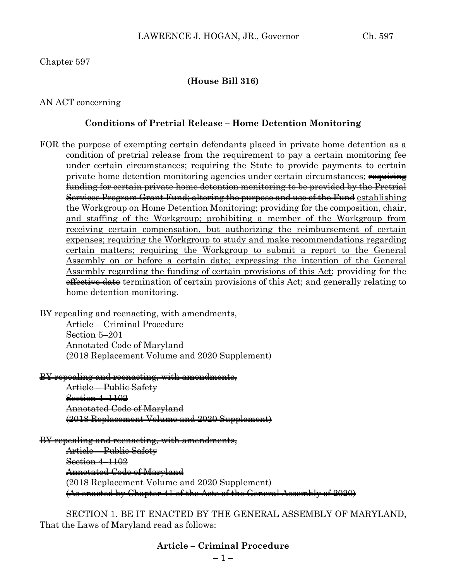# Chapter 597

# **(House Bill 316)**

# AN ACT concerning

# **Conditions of Pretrial Release – Home Detention Monitoring**

FOR the purpose of exempting certain defendants placed in private home detention as a condition of pretrial release from the requirement to pay a certain monitoring fee under certain circumstances; requiring the State to provide payments to certain private home detention monitoring agencies under certain circumstances; requiring funding for certain private home detention monitoring to be provided by the Pretrial Services Program Grant Fund; altering the purpose and use of the Fund establishing the Workgroup on Home Detention Monitoring; providing for the composition, chair, and staffing of the Workgroup; prohibiting a member of the Workgroup from receiving certain compensation, but authorizing the reimbursement of certain expenses; requiring the Workgroup to study and make recommendations regarding certain matters; requiring the Workgroup to submit a report to the General Assembly on or before a certain date; expressing the intention of the General Assembly regarding the funding of certain provisions of this Act; providing for the effective date termination of certain provisions of this Act; and generally relating to home detention monitoring.

BY repealing and reenacting, with amendments, Article – Criminal Procedure Section 5–201

Annotated Code of Maryland (2018 Replacement Volume and 2020 Supplement)

BY repealing and reenacting, with amendments,

Article – Public Safety Section 4–1102 Annotated Code of Maryland (2018 Replacement Volume and 2020 Supplement)

BY repealing and reenacting, with amendments, Article – Public Safety Section 4-1102 Annotated Code of Maryland (2018 Replacement Volume and 2020 Supplement) (As enacted by Chapter 41 of the Acts of the General Assembly of 2020)

SECTION 1. BE IT ENACTED BY THE GENERAL ASSEMBLY OF MARYLAND, That the Laws of Maryland read as follows:

# **Article – Criminal Procedure**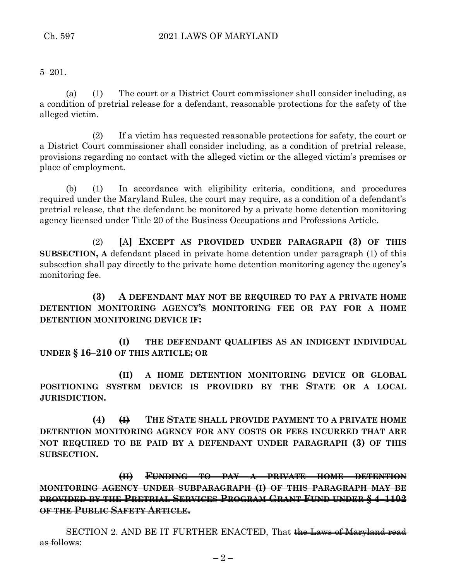5–201.

(a) (1) The court or a District Court commissioner shall consider including, as a condition of pretrial release for a defendant, reasonable protections for the safety of the alleged victim.

(2) If a victim has requested reasonable protections for safety, the court or a District Court commissioner shall consider including, as a condition of pretrial release, provisions regarding no contact with the alleged victim or the alleged victim's premises or place of employment.

(b) (1) In accordance with eligibility criteria, conditions, and procedures required under the Maryland Rules, the court may require, as a condition of a defendant's pretrial release, that the defendant be monitored by a private home detention monitoring agency licensed under Title 20 of the Business Occupations and Professions Article.

(2) **[**A**] EXCEPT AS PROVIDED UNDER PARAGRAPH (3) OF THIS SUBSECTION, A** defendant placed in private home detention under paragraph (1) of this subsection shall pay directly to the private home detention monitoring agency the agency's monitoring fee.

**(3) A DEFENDANT MAY NOT BE REQUIRED TO PAY A PRIVATE HOME DETENTION MONITORING AGENCY'S MONITORING FEE OR PAY FOR A HOME DETENTION MONITORING DEVICE IF:**

**(I) THE DEFENDANT QUALIFIES AS AN INDIGENT INDIVIDUAL UNDER § 16–210 OF THIS ARTICLE; OR**

**(II) A HOME DETENTION MONITORING DEVICE OR GLOBAL POSITIONING SYSTEM DEVICE IS PROVIDED BY THE STATE OR A LOCAL JURISDICTION.**

**(4) (I) THE STATE SHALL PROVIDE PAYMENT TO A PRIVATE HOME DETENTION MONITORING AGENCY FOR ANY COSTS OR FEES INCURRED THAT ARE NOT REQUIRED TO BE PAID BY A DEFENDANT UNDER PARAGRAPH (3) OF THIS SUBSECTION.**

**(II) FUNDING TO PAY A PRIVATE HOME DETENTION MONITORING AGENCY UNDER SUBPARAGRAPH (I) OF THIS PARAGRAPH MAY BE PROVIDED BY THE PRETRIAL SERVICES PROGRAM GRANT FUND UNDER § 4–1102 OF THE PUBLIC SAFETY ARTICLE.**

SECTION 2. AND BE IT FURTHER ENACTED, That the Laws of Maryland read as follows: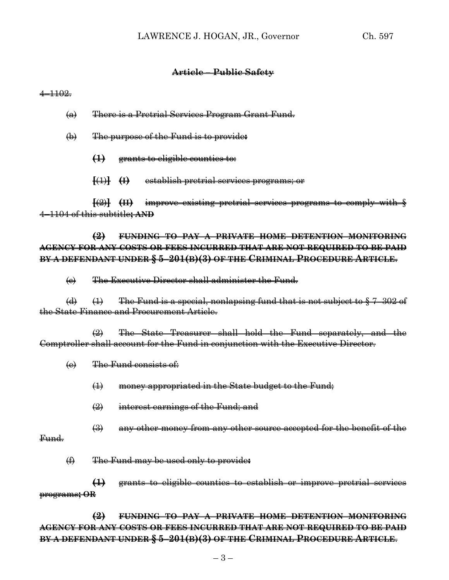### **Article – Public Safety**

#### $4 - 1102.$

- (a) There is a Pretrial Services Program Grant Fund.
- (b) The purpose of the Fund is to provide**:**
	- **(1)** grants to eligible counties to:
	- **[**(1)**] (I)** establish pretrial services programs; or

**[**(2)**] (II)** improve existing pretrial services programs to comply with § 4–1104 of this subtitle**; AND**

**(2) FUNDING TO PAY A PRIVATE HOME DETENTION MONITORING AGENCY FOR ANY COSTS OR FEES INCURRED THAT ARE NOT REQUIRED TO BE PAID BY A DEFENDANT UNDER § 5–201(B)(3) OF THE CRIMINAL PROCEDURE ARTICLE**.

(c) The Executive Director shall administer the Fund.

(d)  $(1)$  The Fund is a special, nonlapsing fund that is not subject to  $\S 7-302$  of the State Finance and Procurement Article.

(2) The State Treasurer shall hold the Fund separately, and the Comptroller shall account for the Fund in conjunction with the Executive Director.

(e) The Fund consists of:

- (1) money appropriated in the State budget to the Fund;
- (2) interest earnings of the Fund; and
- (3) any other money from any other source accepted for the benefit of the

# Fund.

(f) The Fund may be used only to provide**:**

**(1)** grants to eligible counties to establish or improve pretrial services programs**; OR**

**(2) FUNDING TO PAY A PRIVATE HOME DETENTION MONITORING AGENCY FOR ANY COSTS OR FEES INCURRED THAT ARE NOT REQUIRED TO BE PAID BY A DEFENDANT UNDER § 5–201(B)(3) OF THE CRIMINAL PROCEDURE ARTICLE**.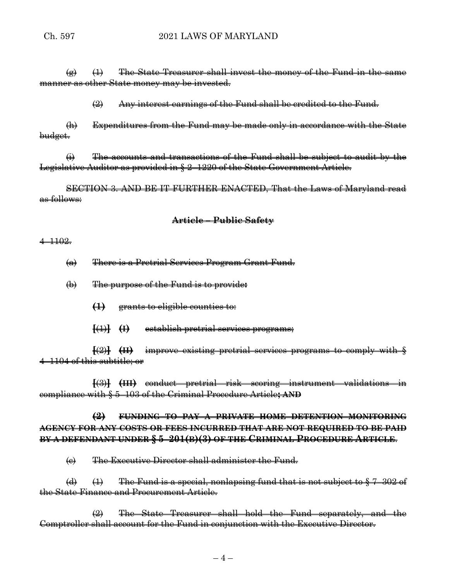# Ch. 597 2021 LAWS OF MARYLAND

 $\left(\frac{a}{b}\right)$  (1) The State Treasurer shall invest the money of the Fund in the same manner as other State money may be invested.

 $\left( 2 \right)$  Any interest earnings of the Fund shall be credited to the Fund.

(h) Expenditures from the Fund may be made only in accordance with the State budget.

 $\leftrightarrow$  The accounts and transactions of the Fund shall be subject to audit by the Legislative Auditor as provided in § 2–1220 of the State Government Article.

SECTION 3. AND BE IT FURTHER ENACTED, That the Laws of Maryland read as follows:

# **Article – Public Safety**

#### 4–1102.

- (a) There is a Pretrial Services Program Grant Fund.
- (b) The purpose of the Fund is to provide**:**
	- **(1)** grants to eligible counties to:
	- **[**(1)**] (I)** establish pretrial services programs;

**[**(2)**] (II)** improve existing pretrial services programs to comply with § 4–1104 of this subtitle; or

**[**(3)**] (III)** conduct pretrial risk scoring instrument validations in compliance with § 5–103 of the Criminal Procedure Article**; AND**

# **(2) FUNDING TO PAY A PRIVATE HOME DETENTION MONITORING AGENCY FOR ANY COSTS OR FEES INCURRED THAT ARE NOT REQUIRED TO BE PAID BY A DEFENDANT UNDER § 5–201(B)(3) OF THE CRIMINAL PROCEDURE ARTICLE**.

(c) The Executive Director shall administer the Fund.

(d)  $(1)$  The Fund is a special, nonlapsing fund that is not subject to  $\S 7$ –302 of the State Finance and Procurement Article.

(2) The State Treasurer shall hold the Fund separately, and the Comptroller shall account for the Fund in conjunction with the Executive Director.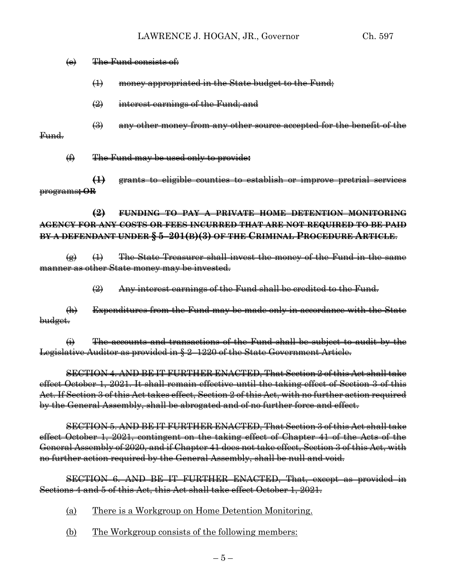#### (e) The Fund consists of:

(1) money appropriated in the State budget to the Fund;

- $\left( \frac{1}{2} \right)$  interest earnings of the Fund; and
- $\left(\frac{1}{2}\right)$  any other money from any other source accepted for the benefit of the

## Fund.

(f) The Fund may be used only to provide**:**

**(1)** grants to eligible counties to establish or improve pretrial services programs**; OR**

**(2) FUNDING TO PAY A PRIVATE HOME DETENTION MONITORING AGENCY FOR ANY COSTS OR FEES INCURRED THAT ARE NOT REQUIRED TO BE PAID BY A DEFENDANT UNDER § 5–201(B)(3) OF THE CRIMINAL PROCEDURE ARTICLE**.

 $\overline{a}$   $\rightarrow$   $\overline{a}$  The State Treasurer shall invest the money of the Fund in the same manner as other State money may be invested.

(2) Any interest earnings of the Fund shall be credited to the Fund.

(h) Expenditures from the Fund may be made only in accordance with the State budget.

 $\overrightarrow{H}$  The accounts and transactions of the Fund shall be subject to audit by the Legislative Auditor as provided in § 2–1220 of the State Government Article.

SECTION 4. AND BE IT FURTHER ENACTED, That Section 2 of this Act shall take effect October 1, 2021. It shall remain effective until the taking effect of Section 3 of this Act. If Section 3 of this Act takes effect, Section 2 of this Act, with no further action required by the General Assembly, shall be abrogated and of no further force and effect.

SECTION 5. AND BE IT FURTHER ENACTED, That Section 3 of this Act shall take effect October 1, 2021, contingent on the taking effect of Chapter 41 of the Acts of the General Assembly of 2020, and if Chapter 41 does not take effect, Section 3 of this Act, with no further action required by the General Assembly, shall be null and void.

SECTION 6. AND BE IT FURTHER ENACTED, That, except as provided in Sections 4 and 5 of this Act, this Act shall take effect October 1, 2021.

- (a) There is a Workgroup on Home Detention Monitoring.
- (b) The Workgroup consists of the following members: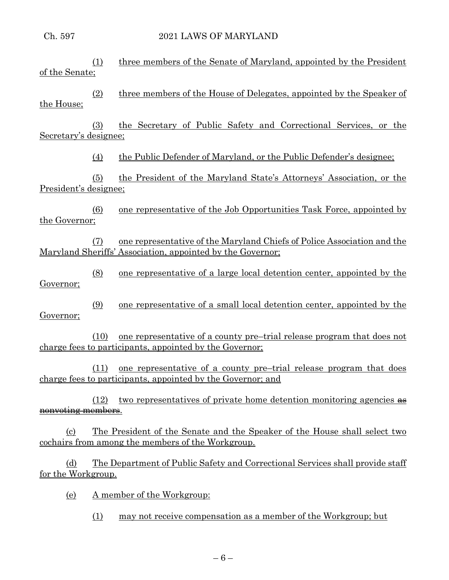# Ch. 597 2021 LAWS OF MARYLAND

| <u>of the Senate;</u>                                                                                                                                                      | (1)              | three members of the Senate of Maryland, appointed by the President                                                                   |
|----------------------------------------------------------------------------------------------------------------------------------------------------------------------------|------------------|---------------------------------------------------------------------------------------------------------------------------------------|
| the House;                                                                                                                                                                 | (2)              | three members of the House of Delegates, appointed by the Speaker of                                                                  |
| Secretary's designee;                                                                                                                                                      | (3)              | the Secretary of Public Safety and Correctional Services, or the                                                                      |
|                                                                                                                                                                            | $\left(4\right)$ | the Public Defender of Maryland, or the Public Defender's designee;                                                                   |
| President's designee;                                                                                                                                                      | (5)              | the President of the Maryland State's Attorneys' Association, or the                                                                  |
| the Governor;                                                                                                                                                              | (6)              | one representative of the Job Opportunities Task Force, appointed by                                                                  |
|                                                                                                                                                                            | (7)              | one representative of the Maryland Chiefs of Police Association and the<br>Maryland Sheriffs' Association, appointed by the Governor; |
| Governor;                                                                                                                                                                  | (8)              | one representative of a large local detention center, appointed by the                                                                |
| Governor;                                                                                                                                                                  | (9)              | one representative of a small local detention center, appointed by the                                                                |
|                                                                                                                                                                            | (10)             | one representative of a county pre-trial release program that does not<br>charge fees to participants, appointed by the Governor;     |
|                                                                                                                                                                            | (11)             | one representative of a county pre-trial release program that does<br>charge fees to participants, appointed by the Governor; and     |
| <del>nonvoting members</del> .                                                                                                                                             | (12)             | two representatives of private home detention monitoring agencies as                                                                  |
| <u>The President of the Senate and the Speaker of the House shall select two</u><br>$\left( \mathrm{c}\right)$<br><u>cochairs from among the members of the Workgroup.</u> |                  |                                                                                                                                       |
| (d)<br>for the Workgroup.                                                                                                                                                  |                  | <u>The Department of Public Safety and Correctional Services shall provide staff</u>                                                  |
| <u>(e)</u>                                                                                                                                                                 |                  | A member of the Workgroup:                                                                                                            |

(1) may not receive compensation as a member of the Workgroup; but